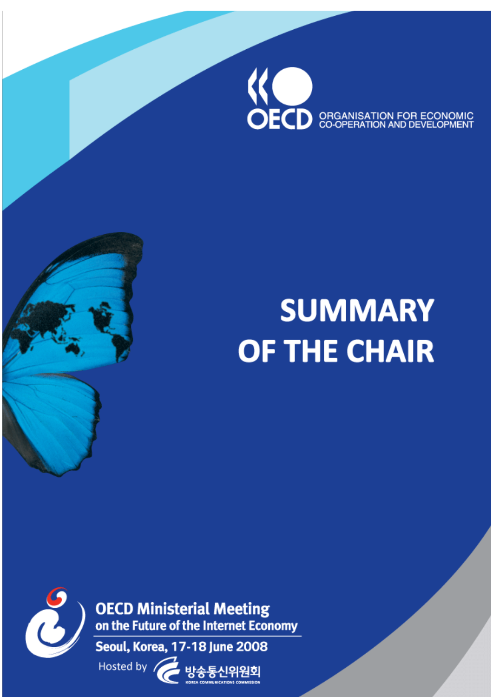

# **SUMMARY OF THE CHAIR**



**OECD Ministerial Meeting**<br>on the Future of the Internet Economy

Seoul, Korea, 17-18 June 2008

Hosted by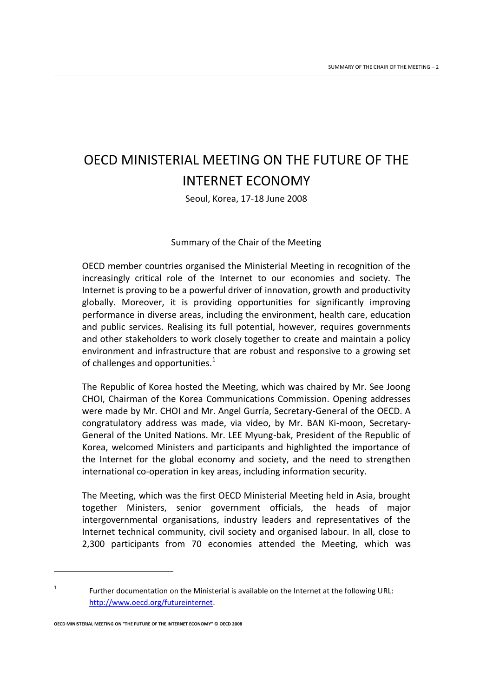# OECD MINISTERIAL MEETING ON THE FUTURE OF THE INTERNET ECONOMY

Seoul, Korea, 17-18 June 2008

# Summary of the Chair of the Meeting

OECD member countries organised the Ministerial Meeting in recognition of the increasingly critical role of the Internet to our economies and society. The Internet is proving to be a powerful driver of innovation, growth and productivity globally. Moreover, it is providing opportunities for significantly improving performance in diverse areas, including the environment, health care, education and public services. Realising its full potential, however, requires governments and other stakeholders to work closely together to create and maintain a policy environment and infrastructure that are robust and responsive to a growing set of challenges and opportunities. $1$ 

The Republic of Korea hosted the Meeting, which was chaired by Mr. See Joong CHOI, Chairman of the Korea Communications Commission. Opening addresses were made by Mr. CHOI and Mr. Angel Gurría, Secretary-General of the OECD. A congratulatory address was made, via video, by Mr. BAN Ki-moon, Secretary-General of the United Nations. Mr. LEE Myung-bak, President of the Republic of Korea, welcomed Ministers and participants and highlighted the importance of the Internet for the global economy and society, and the need to strengthen international co-operation in key areas, including information security.

The Meeting, which was the first OECD Ministerial Meeting held in Asia, brought together Ministers, senior government officials, the heads of major intergovernmental organisations, industry leaders and representatives of the Internet technical community, civil society and organised labour. In all, close to 2,300 participants from 70 economies attended the Meeting, which was

**OECD MINISTERIAL MEETING ON "THE FUTURE OF THE INTERNET ECONOMY" © OECD 2008**

 $\overline{a}$ 

<sup>1</sup> Further documentation on the Ministerial is available on the Internet at the following URL: [http://www.oecd.org/futureinternet.](http://www.oecd.org/futureinternet)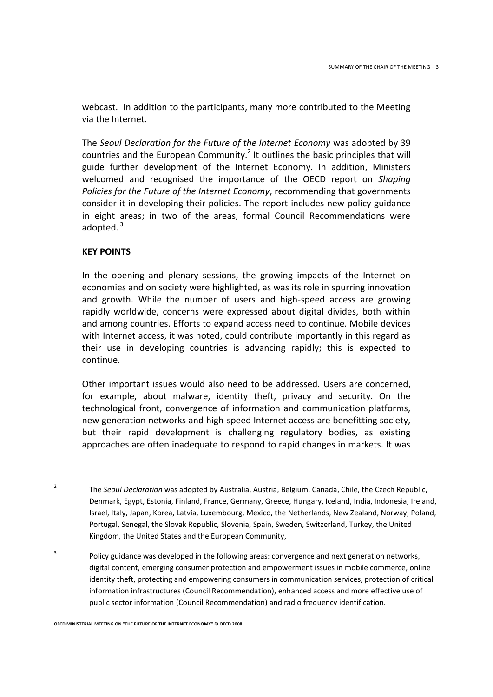webcast. In addition to the participants, many more contributed to the Meeting via the Internet.

The *Seoul Declaration for the Future of the Internet Economy* was adopted by 39 countries and the European Community.<sup>2</sup> It outlines the basic principles that will guide further development of the Internet Economy. In addition, Ministers welcomed and recognised the importance of the OECD report on *Shaping Policies for the Future of the Internet Economy*, recommending that governments consider it in developing their policies. The report includes new policy guidance in eight areas; in two of the areas, formal Council Recommendations were adopted. $3$ 

#### **KEY POINTS**

 $\overline{a}$ 

In the opening and plenary sessions, the growing impacts of the Internet on economies and on society were highlighted, as was its role in spurring innovation and growth. While the number of users and high-speed access are growing rapidly worldwide, concerns were expressed about digital divides, both within and among countries. Efforts to expand access need to continue. Mobile devices with Internet access, it was noted, could contribute importantly in this regard as their use in developing countries is advancing rapidly; this is expected to continue.

Other important issues would also need to be addressed. Users are concerned, for example, about malware, identity theft, privacy and security. On the technological front, convergence of information and communication platforms, new generation networks and high-speed Internet access are benefitting society, but their rapid development is challenging regulatory bodies, as existing approaches are often inadequate to respond to rapid changes in markets. It was

 $\overline{2}$ The *Seoul Declaration* was adopted by Australia, Austria, Belgium, Canada, Chile, the Czech Republic, Denmark, Egypt, Estonia, Finland, France, Germany, Greece, Hungary, Iceland, India, Indonesia, Ireland, Israel, Italy, Japan, Korea, Latvia, Luxembourg, Mexico, the Netherlands, New Zealand, Norway, Poland, Portugal, Senegal, the Slovak Republic, Slovenia, Spain, Sweden, Switzerland, Turkey, the United Kingdom, the United States and the European Community,

<sup>3</sup> Policy guidance was developed in the following areas: convergence and next generation networks, digital content, emerging consumer protection and empowerment issues in mobile commerce, online identity theft, protecting and empowering consumers in communication services, protection of critical information infrastructures (Council Recommendation), enhanced access and more effective use of public sector information (Council Recommendation) and radio frequency identification.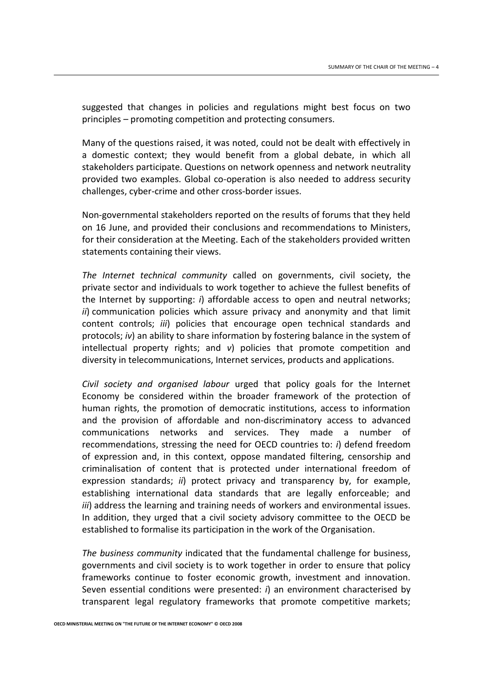suggested that changes in policies and regulations might best focus on two principles – promoting competition and protecting consumers.

Many of the questions raised, it was noted, could not be dealt with effectively in a domestic context; they would benefit from a global debate, in which all stakeholders participate. Questions on network openness and network neutrality provided two examples. Global co-operation is also needed to address security challenges, cyber-crime and other cross-border issues.

Non-governmental stakeholders reported on the results of forums that they held on 16 June, and provided their conclusions and recommendations to Ministers, for their consideration at the Meeting. Each of the stakeholders provided written statements containing their views.

*The Internet technical community* called on governments, civil society, the private sector and individuals to work together to achieve the fullest benefits of the Internet by supporting: *i*) affordable access to open and neutral networks; *ii*) communication policies which assure privacy and anonymity and that limit content controls; *iii*) policies that encourage open technical standards and protocols; *iv*) an ability to share information by fostering balance in the system of intellectual property rights; and *v*) policies that promote competition and diversity in telecommunications, Internet services, products and applications.

*Civil society and organised labour* urged that policy goals for the Internet Economy be considered within the broader framework of the protection of human rights, the promotion of democratic institutions, access to information and the provision of affordable and non-discriminatory access to advanced communications networks and services. They made a number of recommendations, stressing the need for OECD countries to: *i*) defend freedom of expression and, in this context, oppose mandated filtering, censorship and criminalisation of content that is protected under international freedom of expression standards; *ii*) protect privacy and transparency by, for example, establishing international data standards that are legally enforceable; and *iii*) address the learning and training needs of workers and environmental issues. In addition, they urged that a civil society advisory committee to the OECD be established to formalise its participation in the work of the Organisation.

*The business community* indicated that the fundamental challenge for business, governments and civil society is to work together in order to ensure that policy frameworks continue to foster economic growth, investment and innovation. Seven essential conditions were presented: *i*) an environment characterised by transparent legal regulatory frameworks that promote competitive markets;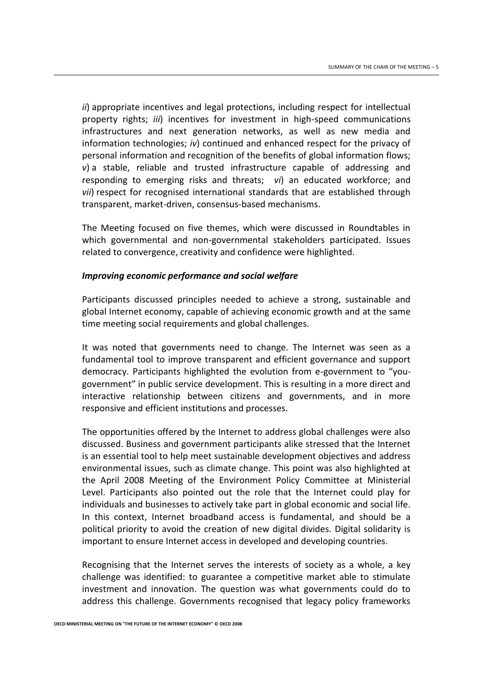*ii*) appropriate incentives and legal protections, including respect for intellectual property rights; *iii*) incentives for investment in high-speed communications infrastructures and next generation networks, as well as new media and information technologies; *iv*) continued and enhanced respect for the privacy of personal information and recognition of the benefits of global information flows; *v*) a stable, reliable and trusted infrastructure capable of addressing and responding to emerging risks and threats; *vi*) an educated workforce; and *vii*) respect for recognised international standards that are established through transparent, market-driven, consensus-based mechanisms.

The Meeting focused on five themes, which were discussed in Roundtables in which governmental and non-governmental stakeholders participated. Issues related to convergence, creativity and confidence were highlighted.

# *Improving economic performance and social welfare*

Participants discussed principles needed to achieve a strong, sustainable and global Internet economy, capable of achieving economic growth and at the same time meeting social requirements and global challenges.

It was noted that governments need to change. The Internet was seen as a fundamental tool to improve transparent and efficient governance and support democracy. Participants highlighted the evolution from e-government to "yougovernment" in public service development. This is resulting in a more direct and interactive relationship between citizens and governments, and in more responsive and efficient institutions and processes.

The opportunities offered by the Internet to address global challenges were also discussed. Business and government participants alike stressed that the Internet is an essential tool to help meet sustainable development objectives and address environmental issues, such as climate change. This point was also highlighted at the April 2008 Meeting of the Environment Policy Committee at Ministerial Level. Participants also pointed out the role that the Internet could play for individuals and businesses to actively take part in global economic and social life. In this context, Internet broadband access is fundamental, and should be a political priority to avoid the creation of new digital divides. Digital solidarity is important to ensure Internet access in developed and developing countries.

Recognising that the Internet serves the interests of society as a whole, a key challenge was identified: to guarantee a competitive market able to stimulate investment and innovation. The question was what governments could do to address this challenge. Governments recognised that legacy policy frameworks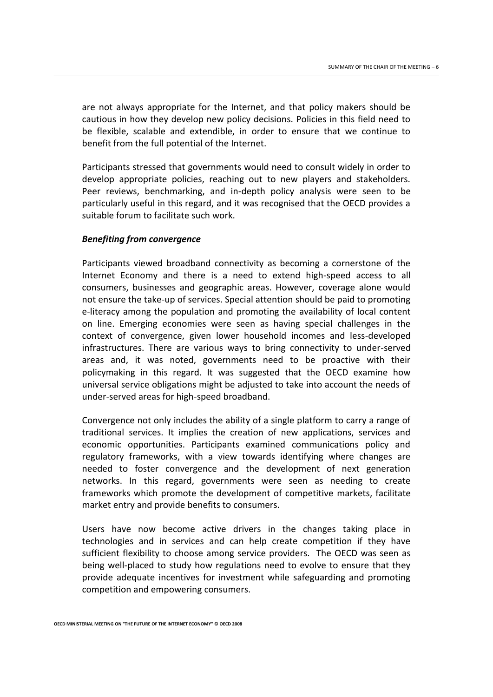are not always appropriate for the Internet, and that policy makers should be cautious in how they develop new policy decisions. Policies in this field need to be flexible, scalable and extendible, in order to ensure that we continue to benefit from the full potential of the Internet.

Participants stressed that governments would need to consult widely in order to develop appropriate policies, reaching out to new players and stakeholders. Peer reviews, benchmarking, and in-depth policy analysis were seen to be particularly useful in this regard, and it was recognised that the OECD provides a suitable forum to facilitate such work.

#### *Benefiting from convergence*

Participants viewed broadband connectivity as becoming a cornerstone of the Internet Economy and there is a need to extend high-speed access to all consumers, businesses and geographic areas. However, coverage alone would not ensure the take-up of services. Special attention should be paid to promoting e-literacy among the population and promoting the availability of local content on line. Emerging economies were seen as having special challenges in the context of convergence, given lower household incomes and less-developed infrastructures. There are various ways to bring connectivity to under-served areas and, it was noted, governments need to be proactive with their policymaking in this regard. It was suggested that the OECD examine how universal service obligations might be adjusted to take into account the needs of under-served areas for high-speed broadband.

Convergence not only includes the ability of a single platform to carry a range of traditional services. It implies the creation of new applications, services and economic opportunities. Participants examined communications policy and regulatory frameworks, with a view towards identifying where changes are needed to foster convergence and the development of next generation networks. In this regard, governments were seen as needing to create frameworks which promote the development of competitive markets, facilitate market entry and provide benefits to consumers.

Users have now become active drivers in the changes taking place in technologies and in services and can help create competition if they have sufficient flexibility to choose among service providers. The OECD was seen as being well-placed to study how regulations need to evolve to ensure that they provide adequate incentives for investment while safeguarding and promoting competition and empowering consumers.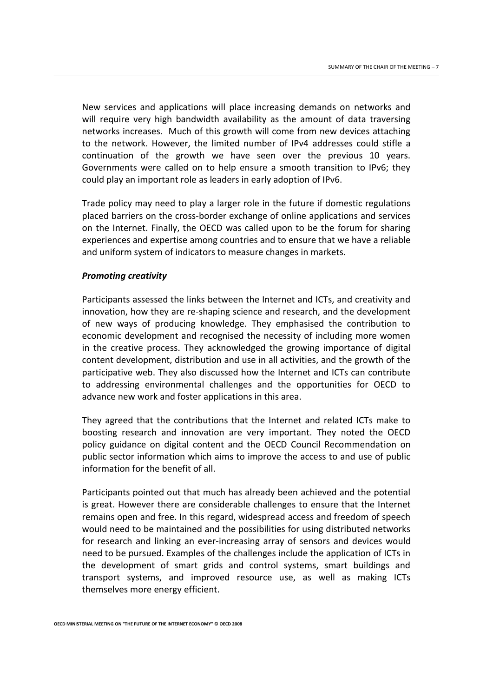New services and applications will place increasing demands on networks and will require very high bandwidth availability as the amount of data traversing networks increases. Much of this growth will come from new devices attaching to the network. However, the limited number of IPv4 addresses could stifle a continuation of the growth we have seen over the previous 10 years. Governments were called on to help ensure a smooth transition to IPv6; they could play an important role as leaders in early adoption of IPv6.

Trade policy may need to play a larger role in the future if domestic regulations placed barriers on the cross-border exchange of online applications and services on the Internet. Finally, the OECD was called upon to be the forum for sharing experiences and expertise among countries and to ensure that we have a reliable and uniform system of indicators to measure changes in markets.

#### *Promoting creativity*

Participants assessed the links between the Internet and ICTs, and creativity and innovation, how they are re-shaping science and research, and the development of new ways of producing knowledge. They emphasised the contribution to economic development and recognised the necessity of including more women in the creative process. They acknowledged the growing importance of digital content development, distribution and use in all activities, and the growth of the participative web. They also discussed how the Internet and ICTs can contribute to addressing environmental challenges and the opportunities for OECD to advance new work and foster applications in this area.

They agreed that the contributions that the Internet and related ICTs make to boosting research and innovation are very important. They noted the OECD policy guidance on digital content and the OECD Council Recommendation on public sector information which aims to improve the access to and use of public information for the benefit of all.

Participants pointed out that much has already been achieved and the potential is great. However there are considerable challenges to ensure that the Internet remains open and free. In this regard, widespread access and freedom of speech would need to be maintained and the possibilities for using distributed networks for research and linking an ever-increasing array of sensors and devices would need to be pursued. Examples of the challenges include the application of ICTs in the development of smart grids and control systems, smart buildings and transport systems, and improved resource use, as well as making ICTs themselves more energy efficient.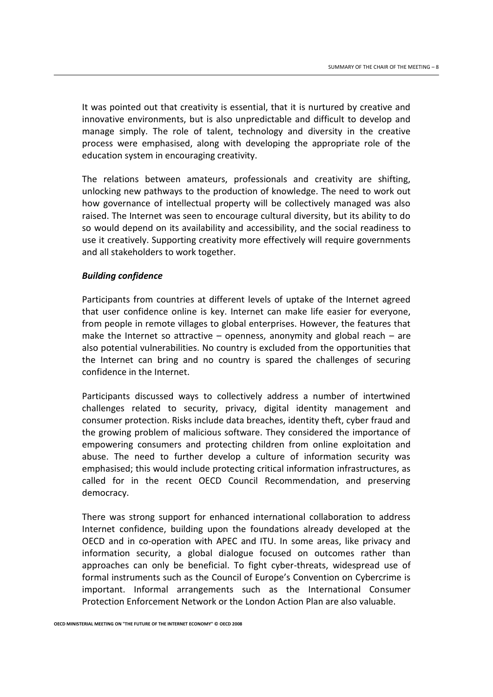It was pointed out that creativity is essential, that it is nurtured by creative and innovative environments, but is also unpredictable and difficult to develop and manage simply. The role of talent, technology and diversity in the creative process were emphasised, along with developing the appropriate role of the education system in encouraging creativity.

The relations between amateurs, professionals and creativity are shifting, unlocking new pathways to the production of knowledge. The need to work out how governance of intellectual property will be collectively managed was also raised. The Internet was seen to encourage cultural diversity, but its ability to do so would depend on its availability and accessibility, and the social readiness to use it creatively. Supporting creativity more effectively will require governments and all stakeholders to work together.

# *Building confidence*

Participants from countries at different levels of uptake of the Internet agreed that user confidence online is key. Internet can make life easier for everyone, from people in remote villages to global enterprises. However, the features that make the Internet so attractive – openness, anonymity and global reach – are also potential vulnerabilities. No country is excluded from the opportunities that the Internet can bring and no country is spared the challenges of securing confidence in the Internet.

Participants discussed ways to collectively address a number of intertwined challenges related to security, privacy, digital identity management and consumer protection. Risks include data breaches, identity theft, cyber fraud and the growing problem of malicious software. They considered the importance of empowering consumers and protecting children from online exploitation and abuse. The need to further develop a culture of information security was emphasised; this would include protecting critical information infrastructures, as called for in the recent OECD Council Recommendation, and preserving democracy.

There was strong support for enhanced international collaboration to address Internet confidence, building upon the foundations already developed at the OECD and in co-operation with APEC and ITU. In some areas, like privacy and information security, a global dialogue focused on outcomes rather than approaches can only be beneficial. To fight cyber-threats, widespread use of formal instruments such as the Council of Europe's Convention on Cybercrime is important. Informal arrangements such as the International Consumer Protection Enforcement Network or the London Action Plan are also valuable.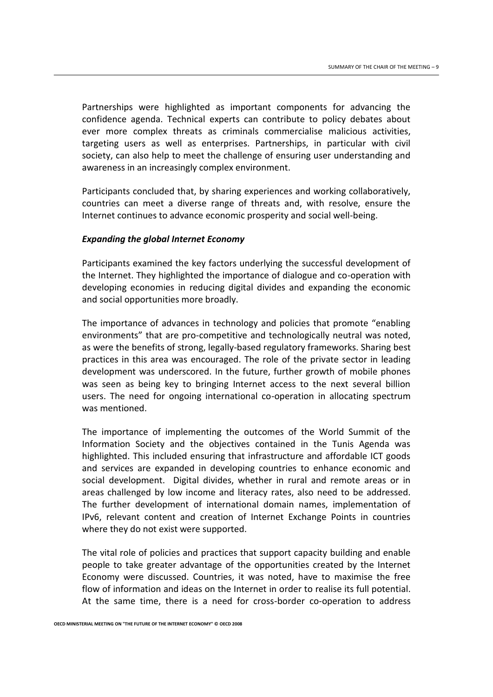Partnerships were highlighted as important components for advancing the confidence agenda. Technical experts can contribute to policy debates about ever more complex threats as criminals commercialise malicious activities, targeting users as well as enterprises. Partnerships, in particular with civil society, can also help to meet the challenge of ensuring user understanding and awareness in an increasingly complex environment.

Participants concluded that, by sharing experiences and working collaboratively, countries can meet a diverse range of threats and, with resolve, ensure the Internet continues to advance economic prosperity and social well-being.

#### *Expanding the global Internet Economy*

Participants examined the key factors underlying the successful development of the Internet. They highlighted the importance of dialogue and co-operation with developing economies in reducing digital divides and expanding the economic and social opportunities more broadly.

The importance of advances in technology and policies that promote "enabling environments" that are pro-competitive and technologically neutral was noted, as were the benefits of strong, legally-based regulatory frameworks. Sharing best practices in this area was encouraged. The role of the private sector in leading development was underscored. In the future, further growth of mobile phones was seen as being key to bringing Internet access to the next several billion users. The need for ongoing international co-operation in allocating spectrum was mentioned.

The importance of implementing the outcomes of the World Summit of the Information Society and the objectives contained in the Tunis Agenda was highlighted. This included ensuring that infrastructure and affordable ICT goods and services are expanded in developing countries to enhance economic and social development. Digital divides, whether in rural and remote areas or in areas challenged by low income and literacy rates, also need to be addressed. The further development of international domain names, implementation of IPv6, relevant content and creation of Internet Exchange Points in countries where they do not exist were supported.

The vital role of policies and practices that support capacity building and enable people to take greater advantage of the opportunities created by the Internet Economy were discussed. Countries, it was noted, have to maximise the free flow of information and ideas on the Internet in order to realise its full potential. At the same time, there is a need for cross-border co-operation to address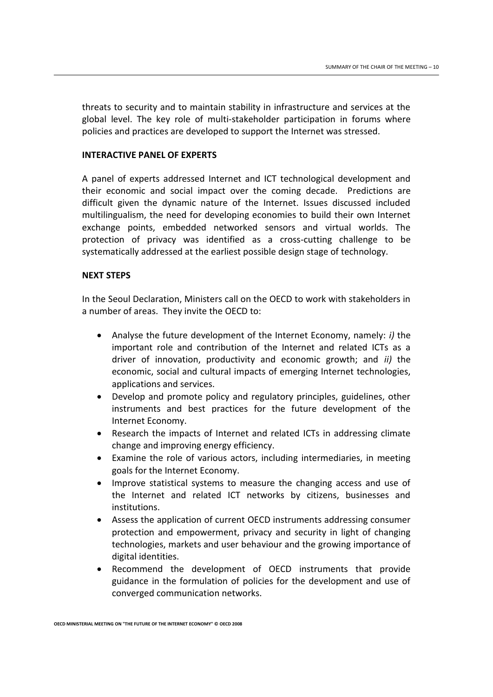threats to security and to maintain stability in infrastructure and services at the global level. The key role of multi-stakeholder participation in forums where policies and practices are developed to support the Internet was stressed.

#### **INTERACTIVE PANEL OF EXPERTS**

A panel of experts addressed Internet and ICT technological development and their economic and social impact over the coming decade. Predictions are difficult given the dynamic nature of the Internet. Issues discussed included multilingualism, the need for developing economies to build their own Internet exchange points, embedded networked sensors and virtual worlds. The protection of privacy was identified as a cross-cutting challenge to be systematically addressed at the earliest possible design stage of technology.

#### **NEXT STEPS**

In the Seoul Declaration, Ministers call on the OECD to work with stakeholders in a number of areas. They invite the OECD to:

- Analyse the future development of the Internet Economy, namely: *i)* the important role and contribution of the Internet and related ICTs as a driver of innovation, productivity and economic growth; and *ii)* the economic, social and cultural impacts of emerging Internet technologies, applications and services.
- Develop and promote policy and regulatory principles, guidelines, other instruments and best practices for the future development of the Internet Economy.
- Research the impacts of Internet and related ICTs in addressing climate change and improving energy efficiency.
- Examine the role of various actors, including intermediaries, in meeting goals for the Internet Economy.
- Improve statistical systems to measure the changing access and use of the Internet and related ICT networks by citizens, businesses and institutions.
- Assess the application of current OECD instruments addressing consumer protection and empowerment, privacy and security in light of changing technologies, markets and user behaviour and the growing importance of digital identities.
- Recommend the development of OECD instruments that provide guidance in the formulation of policies for the development and use of converged communication networks.

**OECD MINISTERIAL MEETING ON "THE FUTURE OF THE INTERNET ECONOMY" © OECD 2008**